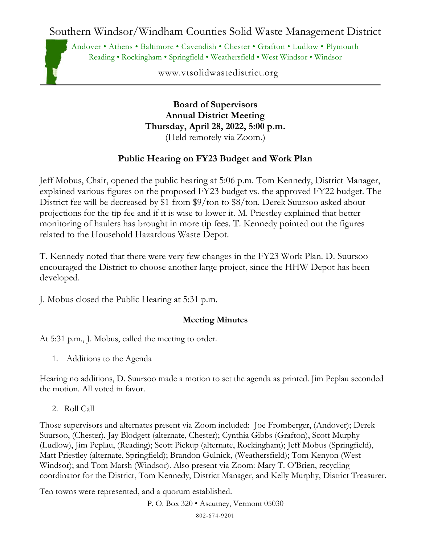Southern Windsor/Windham Counties Solid Waste Management District

Andover • Athens • Baltimore • Cavendish • Chester • Grafton • Ludlow • Plymouth Reading • Rockingham • Springfield • Weathersfield • West Windsor • Windsor

www.vtsolidwastedistrict.org

**Board of Supervisors Annual District Meeting Thursday, April 28, 2022, 5:00 p.m.** (Held remotely via Zoom.)

## **Public Hearing on FY23 Budget and Work Plan**

Jeff Mobus, Chair, opened the public hearing at 5:06 p.m. Tom Kennedy, District Manager, explained various figures on the proposed FY23 budget vs. the approved FY22 budget. The District fee will be decreased by \$1 from \$9/ton to \$8/ton. Derek Suursoo asked about projections for the tip fee and if it is wise to lower it. M. Priestley explained that better monitoring of haulers has brought in more tip fees. T. Kennedy pointed out the figures related to the Household Hazardous Waste Depot.

T. Kennedy noted that there were very few changes in the FY23 Work Plan. D. Suursoo encouraged the District to choose another large project, since the HHW Depot has been developed.

J. Mobus closed the Public Hearing at 5:31 p.m.

## **Meeting Minutes**

At 5:31 p.m., J. Mobus, called the meeting to order.

1. Additions to the Agenda

Hearing no additions, D. Suursoo made a motion to set the agenda as printed. Jim Peplau seconded the motion. All voted in favor.

2. Roll Call

Those supervisors and alternates present via Zoom included: Joe Fromberger, (Andover); Derek Suursoo, (Chester), Jay Blodgett (alternate, Chester); Cynthia Gibbs (Grafton), Scott Murphy (Ludlow), Jim Peplau, (Reading); Scott Pickup (alternate, Rockingham); Jeff Mobus (Springfield), Matt Priestley (alternate, Springfield); Brandon Gulnick, (Weathersfield); Tom Kenyon (West Windsor); and Tom Marsh (Windsor). Also present via Zoom: Mary T. O'Brien, recycling coordinator for the District, Tom Kennedy, District Manager, and Kelly Murphy, District Treasurer.

Ten towns were represented, and a quorum established.

P. O. Box 320 • Ascutney, Vermont 05030

802-674-9201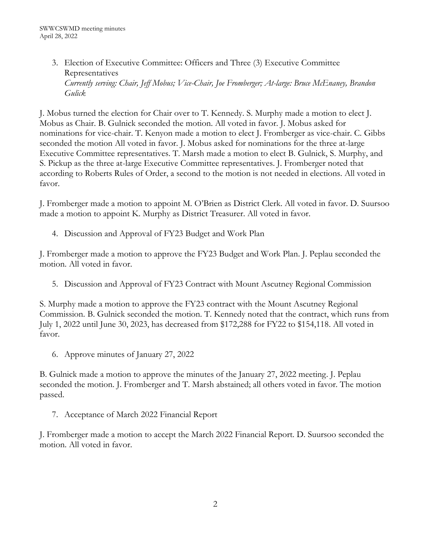3. Election of Executive Committee: Officers and Three (3) Executive Committee Representatives *Currently serving: Chair, Jeff Mobus; Vice-Chair, Joe Fromberger; At-large: Bruce McEnaney, Brandon Gulick*

J. Mobus turned the election for Chair over to T. Kennedy. S. Murphy made a motion to elect J. Mobus as Chair. B. Gulnick seconded the motion. All voted in favor. J. Mobus asked for nominations for vice-chair. T. Kenyon made a motion to elect J. Fromberger as vice-chair. C. Gibbs seconded the motion All voted in favor. J. Mobus asked for nominations for the three at-large Executive Committee representatives. T. Marsh made a motion to elect B. Gulnick, S. Murphy, and S. Pickup as the three at-large Executive Committee representatives. J. Fromberger noted that according to Roberts Rules of Order, a second to the motion is not needed in elections. All voted in favor.

J. Fromberger made a motion to appoint M. O'Brien as District Clerk. All voted in favor. D. Suursoo made a motion to appoint K. Murphy as District Treasurer. All voted in favor.

4. Discussion and Approval of FY23 Budget and Work Plan

J. Fromberger made a motion to approve the FY23 Budget and Work Plan. J. Peplau seconded the motion. All voted in favor.

5. Discussion and Approval of FY23 Contract with Mount Ascutney Regional Commission

S. Murphy made a motion to approve the FY23 contract with the Mount Ascutney Regional Commission. B. Gulnick seconded the motion. T. Kennedy noted that the contract, which runs from July 1, 2022 until June 30, 2023, has decreased from \$172,288 for FY22 to \$154,118. All voted in favor.

6. Approve minutes of January 27, 2022

B. Gulnick made a motion to approve the minutes of the January 27, 2022 meeting. J. Peplau seconded the motion. J. Fromberger and T. Marsh abstained; all others voted in favor. The motion passed.

7. Acceptance of March 2022 Financial Report

J. Fromberger made a motion to accept the March 2022 Financial Report. D. Suursoo seconded the motion. All voted in favor.